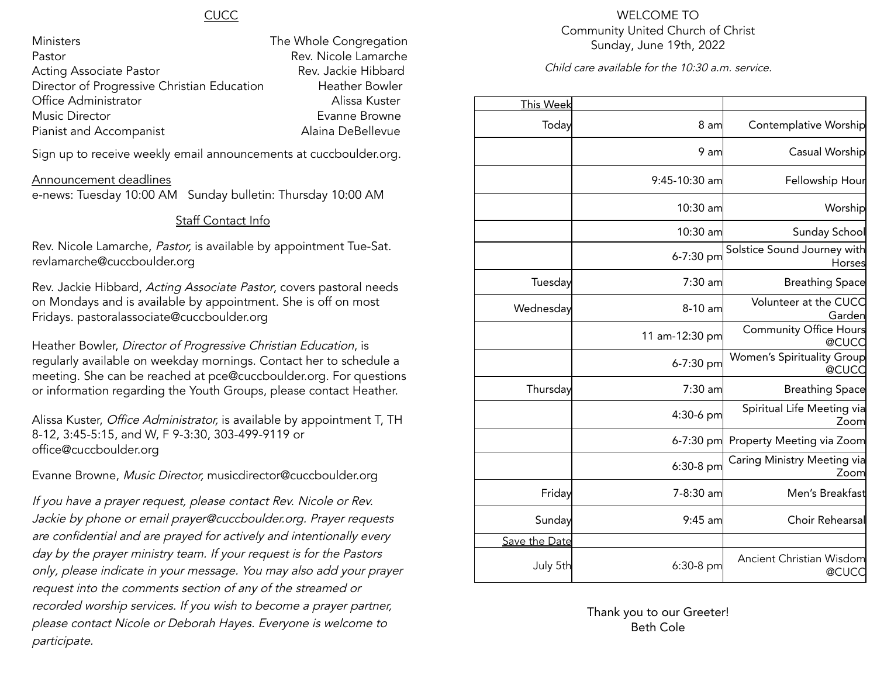#### **CUCC**

| Ministers                                   | The Whole Congregation |
|---------------------------------------------|------------------------|
| Pastor                                      | Rev. Nicole Lamarche   |
| <b>Acting Associate Pastor</b>              | Rev. Jackie Hibbard    |
| Director of Progressive Christian Education | <b>Heather Bowler</b>  |
| Office Administrator                        | Alissa Kuster          |
| <b>Music Director</b>                       | Evanne Browne          |
| Pianist and Accompanist                     | Alaina DeBellevue      |

Sign up to receive weekly email announcements at cuccboulder.org.

#### Announcement deadlines

e-news: Tuesday 10:00 AM Sunday bulletin: Thursday 10:00 AM

#### Staff Contact Info

Rev. Nicole Lamarche, Pastor, is available by appointment Tue-Sat. revlamarche@cuccboulder.org

Rev. Jackie Hibbard, Acting Associate Pastor, covers pastoral needs on Mondays and is available by appointment. She is off on most Fridays. pastoralassociate@cuccboulder.org

Heather Bowler, Director of Progressive Christian Education, is regularly available on weekday mornings. Contact her to schedule a meeting. She can be reached at pce@cuccboulder.org. For questions or information regarding the Youth Groups, please contact Heather.

Alissa Kuster, *Office Administrator*, is available by appointment T, TH 8-12, 3:45-5:15, and W, F 9-3:30, 303-499-9119 or office@cuccboulder.org

Evanne Browne, Music Director, musicdirector@cuccboulder.org

If you have <sup>a</sup> prayer request, please contact Rev. Nicole or Rev. Jackie by phone or email prayer@cuccboulder.org. Prayer requests are confidential and are prayed for actively and intentionally every day by the prayer ministry team. If your request is for the Pastors only, please indicate in your message. You may also add your prayer request into the comments section of any of the streamed or recorded worship services. If you wish to become <sup>a</sup> prayer partner, please contact Nicole or Deborah Hayes. Everyone is welcome to participate.

#### WELCOME TO Community United Church of Christ Sunday, June 19th, 2022

Child care available for the 10:30 a.m. service.

|                                            |                | <b>This Week</b> |
|--------------------------------------------|----------------|------------------|
| Contemplative Worship                      | 8 am           | Today            |
| Casual Worship                             | 9 am           |                  |
| Fellowship Hour                            | 9:45-10:30 am  |                  |
| Worship                                    | 10:30 am       |                  |
| Sunday School                              | 10:30 am       |                  |
| Solstice Sound Journey with<br>Horses      | 6-7:30 pm      |                  |
| <b>Breathing Space</b>                     | 7:30 am        | Tuesday          |
| Volunteer at the CUCC<br>Garden            | 8-10 am        | Wednesday        |
| <b>Community Office Hours</b><br>@CUCC     | 11 am-12:30 pm |                  |
| <b>Women's Spirituality Group</b><br>@CUCC | 6-7:30 pm      |                  |
| <b>Breathing Space</b>                     | 7:30 am        | Thursday         |
| Spiritual Life Meeting via<br>Zoom         | 4:30-6 pm      |                  |
| Property Meeting via Zoom                  | 6-7:30 pm      |                  |
| Caring Ministry Meeting via<br>Zoom        | 6:30-8 pm      |                  |
| Men's Breakfast                            | 7-8:30 am      | Friday           |
| Choir Rehearsal                            | $9:45$ am      | Sunday           |
|                                            |                | Save the Date    |
| Ancient Christian Wisdom<br>@CUCC          | 6:30-8 pm      | July 5th         |